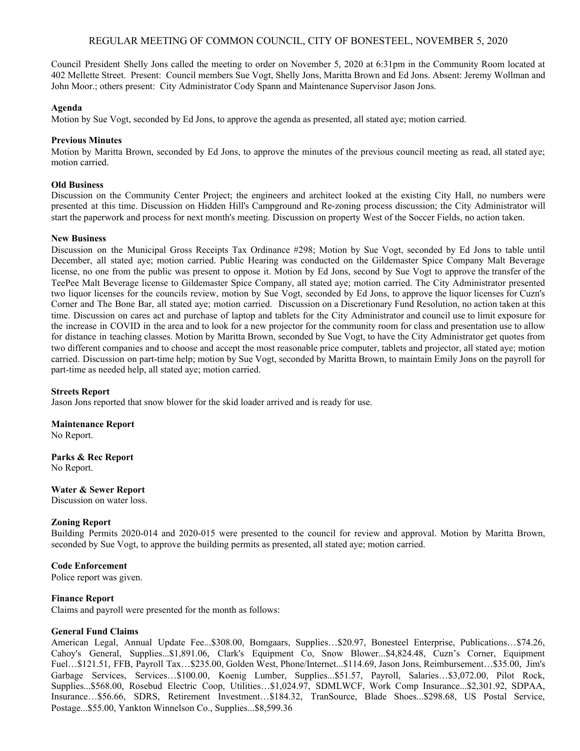# REGULAR MEETING OF COMMON COUNCIL, CITY OF BONESTEEL, NOVEMBER 5, 2020

Council President Shelly Jons called the meeting to order on November 5, 2020 at 6:31pm in the Community Room located at 402 Mellette Street. Present: Council members Sue Vogt, Shelly Jons, Maritta Brown and Ed Jons. Absent: Jeremy Wollman and John Moor.; others present: City Administrator Cody Spann and Maintenance Supervisor Jason Jons.

### **Agenda**

Motion by Sue Vogt, seconded by Ed Jons, to approve the agenda as presented, all stated aye; motion carried.

### **Previous Minutes**

Motion by Maritta Brown, seconded by Ed Jons, to approve the minutes of the previous council meeting as read, all stated aye; motion carried.

### **Old Business**

Discussion on the Community Center Project; the engineers and architect looked at the existing City Hall, no numbers were presented at this time. Discussion on Hidden Hill's Campground and Re-zoning process discussion; the City Administrator will start the paperwork and process for next month's meeting. Discussion on property West of the Soccer Fields, no action taken.

#### **New Business**

Discussion on the Municipal Gross Receipts Tax Ordinance #298; Motion by Sue Vogt, seconded by Ed Jons to table until December, all stated aye; motion carried. Public Hearing was conducted on the Gildemaster Spice Company Malt Beverage license, no one from the public was present to oppose it. Motion by Ed Jons, second by Sue Vogt to approve the transfer of the TeePee Malt Beverage license to Gildemaster Spice Company, all stated aye; motion carried. The City Administrator presented two liquor licenses for the councils review, motion by Sue Vogt, seconded by Ed Jons, to approve the liquor licenses for Cuzn's Corner and The Bone Bar, all stated aye; motion carried. Discussion on a Discretionary Fund Resolution, no action taken at this time. Discussion on cares act and purchase of laptop and tablets for the City Administrator and council use to limit exposure for the increase in COVID in the area and to look for a new projector for the community room for class and presentation use to allow for distance in teaching classes. Motion by Maritta Brown, seconded by Sue Vogt, to have the City Administrator get quotes from two different companies and to choose and accept the most reasonable price computer, tablets and projector, all stated aye; motion carried. Discussion on part-time help; motion by Sue Vogt, seconded by Maritta Brown, to maintain Emily Jons on the payroll for part-time as needed help, all stated aye; motion carried.

#### **Streets Report**

Jason Jons reported that snow blower for the skid loader arrived and is ready for use.

**Maintenance Report** No Report.

**Parks & Rec Report** No Report.

# **Water & Sewer Report**

Discussion on water loss.

#### **Zoning Report**

Building Permits 2020-014 and 2020-015 were presented to the council for review and approval. Motion by Maritta Brown, seconded by Sue Vogt, to approve the building permits as presented, all stated aye; motion carried.

#### **Code Enforcement**

Police report was given.

#### **Finance Report**

Claims and payroll were presented for the month as follows:

# **General Fund Claims**

American Legal, Annual Update Fee...\$308.00, Bomgaars, Supplies…\$20.97, Bonesteel Enterprise, Publications…\$74.26, Cahoy's General, Supplies...\$1,891.06, Clark's Equipment Co, Snow Blower...\$4,824.48, Cuzn's Corner, Equipment Fuel…\$121.51, FFB, Payroll Tax…\$235.00, Golden West, Phone/Internet...\$114.69, Jason Jons, Reimbursement…\$35.00, Jim's Garbage Services, Services…\$100.00, Koenig Lumber, Supplies...\$51.57, Payroll, Salaries…\$3,072.00, Pilot Rock, Supplies...\$568.00, Rosebud Electric Coop, Utilities…\$1,024.97, SDMLWCF, Work Comp Insurance...\$2,301.92, SDPAA, Insurance…\$56.66, SDRS, Retirement Investment…\$184.32, TranSource, Blade Shoes...\$298.68, US Postal Service, Postage...\$55.00, Yankton Winnelson Co., Supplies...\$8,599.36